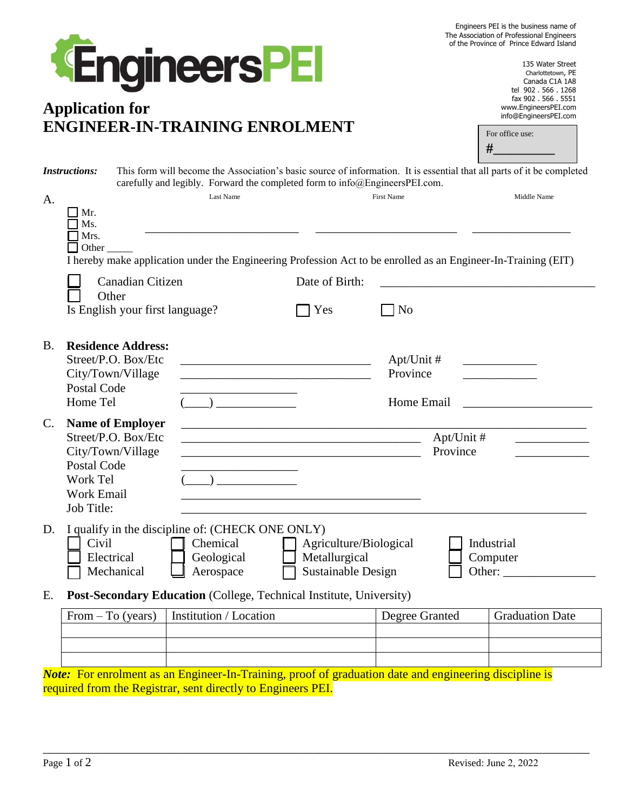| Engineers PEI is the business name of     |
|-------------------------------------------|
| The Association of Professional Engineers |
| of the Province of Prince Edward Island   |



# **Application for ENGINEER-IN-TRAINING ENROLMENT**

135 Water Street Charlottetown, PE Canada C1A 1A8 tel 902 . 566 . 1268 fax 902 . 566 . 5551 www.EngineersPEI.com info@EngineersPEI.com

|                                                                           |                                                            |                                                                       | ENGINEEK-IN- I KAINING ENKOLMEN I                                                                                                                                                                                                                                                                                                                                                              |                                                                      |                                         |  | For office use:<br>#             |
|---------------------------------------------------------------------------|------------------------------------------------------------|-----------------------------------------------------------------------|------------------------------------------------------------------------------------------------------------------------------------------------------------------------------------------------------------------------------------------------------------------------------------------------------------------------------------------------------------------------------------------------|----------------------------------------------------------------------|-----------------------------------------|--|----------------------------------|
| <b>Instructions:</b>                                                      |                                                            |                                                                       | This form will become the Association's basic source of information. It is essential that all parts of it be completed<br>carefully and legibly. Forward the completed form to info@EngineersPEI.com.                                                                                                                                                                                          |                                                                      |                                         |  |                                  |
| A.                                                                        | Mr.<br>Ms.<br>Mrs.<br>Other_                               |                                                                       | Last Name<br>I hereby make application under the Engineering Profession Act to be enrolled as an Engineer-In-Training (EIT)                                                                                                                                                                                                                                                                    |                                                                      | <b>First Name</b>                       |  | Middle Name                      |
|                                                                           | Other                                                      | Canadian Citizen                                                      | Is English your first language?                                                                                                                                                                                                                                                                                                                                                                | Date of Birth:<br>Yes                                                | N <sub>o</sub>                          |  |                                  |
| B.                                                                        | Postal Code<br>Home Tel                                    | <b>Residence Address:</b><br>Street/P.O. Box/Etc<br>City/Town/Village | <u> 1989 - Johann John Stone, mars et al. 1989 - John Stone, mars et al. 1989 - John Stone, mars et al. 1989 - John Stone</u><br><u> 1989 - Johann John Harry Harry Harry Harry Harry Harry Harry Harry Harry Harry Harry Harry Harry Harry Harry Harry Harry Harry Harry Harry Harry Harry Harry Harry Harry Harry Harry Harry Harry Harry Harry Harry Harry Har</u>                          |                                                                      | $Apt/Unit \#$<br>Province<br>Home Email |  |                                  |
| C.                                                                        | Postal Code<br>Work Tel<br><b>Work Email</b><br>Job Title: | <b>Name of Employer</b><br>Street/P.O. Box/Etc<br>City/Town/Village   | <u> 1990 - Johann Barbara, martin a</u><br>$\begin{picture}(20,10) \put(0,0){\line(1,0){10}} \put(15,0){\line(1,0){10}} \put(15,0){\line(1,0){10}} \put(15,0){\line(1,0){10}} \put(15,0){\line(1,0){10}} \put(15,0){\line(1,0){10}} \put(15,0){\line(1,0){10}} \put(15,0){\line(1,0){10}} \put(15,0){\line(1,0){10}} \put(15,0){\line(1,0){10}} \put(15,0){\line(1,0){10}} \put(15,0){\line(1$ | <u> 1989 - Johann Barbara, martxa al III-lea (h. 1989).</u>          | Apt/Unit #<br>Province                  |  |                                  |
| D.                                                                        | Civil<br>Electrical                                        | Mechanical                                                            | I qualify in the discipline of: (CHECK ONE ONLY)<br>Chemical<br>Geological<br>Aerospace                                                                                                                                                                                                                                                                                                        | Agriculture/Biological<br>Metallurgical<br><b>Sustainable Design</b> |                                         |  | Industrial<br>Computer<br>Other: |
| Post-Secondary Education (College, Technical Institute, University)<br>Е. |                                                            |                                                                       |                                                                                                                                                                                                                                                                                                                                                                                                |                                                                      |                                         |  |                                  |
|                                                                           | From $-$ To (years)                                        |                                                                       | Institution / Location                                                                                                                                                                                                                                                                                                                                                                         |                                                                      | Degree Granted                          |  | <b>Graduation Date</b>           |
|                                                                           |                                                            |                                                                       |                                                                                                                                                                                                                                                                                                                                                                                                |                                                                      |                                         |  |                                  |

*Note*: For enrolment as an Engineer-In-Training, proof of graduation date and engineering discipline is required from the Registrar, sent directly to Engineers PEI.

\_\_\_\_\_\_\_\_\_\_\_\_\_\_\_\_\_\_\_\_\_\_\_\_\_\_\_\_\_\_\_\_\_\_\_\_\_\_\_\_\_\_\_\_\_\_\_\_\_\_\_\_\_\_\_\_\_\_\_\_\_\_\_\_\_\_\_\_\_\_\_\_\_\_\_\_\_\_\_\_\_\_\_\_\_\_\_\_\_